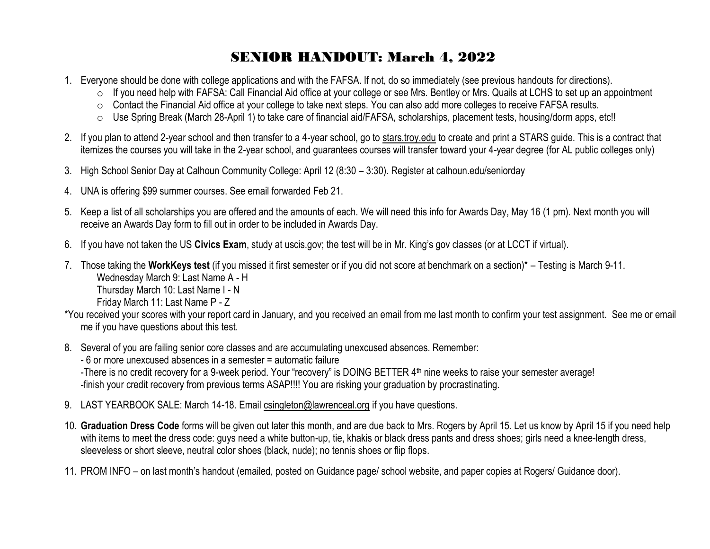## SENIOR HANDOUT: March 4, 2022

- 1. Everyone should be done with college applications and with the FAFSA. If not, do so immediately (see previous handouts for directions).
	- o If you need help with FAFSA: Call Financial Aid office at your college or see Mrs. Bentley or Mrs. Quails at LCHS to set up an appointment
	- o Contact the Financial Aid office at your college to take next steps. You can also add more colleges to receive FAFSA results.
	- o Use Spring Break (March 28-April 1) to take care of financial aid/FAFSA, scholarships, placement tests, housing/dorm apps, etc!!
- 2. If you plan to attend 2-year school and then transfer to a 4-year school, go to stars.troy.edu to create and print a STARS guide. This is a contract that itemizes the courses you will take in the 2-year school, and guarantees courses will transfer toward your 4-year degree (for AL public colleges only)
- 3. High School Senior Day at Calhoun Community College: April 12 (8:30 3:30). Register at calhoun.edu/seniorday
- 4. UNA is offering \$99 summer courses. See email forwarded Feb 21.
- 5. Keep a list of all scholarships you are offered and the amounts of each. We will need this info for Awards Day, May 16 (1 pm). Next month you will receive an Awards Day form to fill out in order to be included in Awards Day.
- 6. If you have not taken the US **Civics Exam**, study at uscis.gov; the test will be in Mr. King's gov classes (or at LCCT if virtual).
- 7. Those taking the **WorkKeys test** (if you missed it first semester or if you did not score at benchmark on a section)\* Testing is March 9-11. Wednesday March 9: Last Name A - H

Thursday March 10: Last Name I - N

Friday March 11: Last Name P - Z

- \*You received your scores with your report card in January, and you received an email from me last month to confirm your test assignment. See me or email me if you have questions about this test.
- 8. Several of you are failing senior core classes and are accumulating unexcused absences. Remember:

- 6 or more unexcused absences in a semester = automatic failure

-There is no credit recovery for a 9-week period. Your "recovery" is DOING BETTER 4th nine weeks to raise your semester average! -finish your credit recovery from previous terms ASAP!!!! You are risking your graduation by procrastinating.

- 9. LAST YEARBOOK SALE: March 14-18. Email [csingleton@lawrenceal.org](mailto:csingleton@lawrenceal.org) if you have questions.
- 10. **Graduation Dress Code** forms will be given out later this month, and are due back to Mrs. Rogers by April 15. Let us know by April 15 if you need help with items to meet the dress code: guys need a white button-up, tie, khakis or black dress pants and dress shoes; girls need a knee-length dress, sleeveless or short sleeve, neutral color shoes (black, nude); no tennis shoes or flip flops.
- 11. PROM INFO on last month's handout (emailed, posted on Guidance page/ school website, and paper copies at Rogers/ Guidance door).